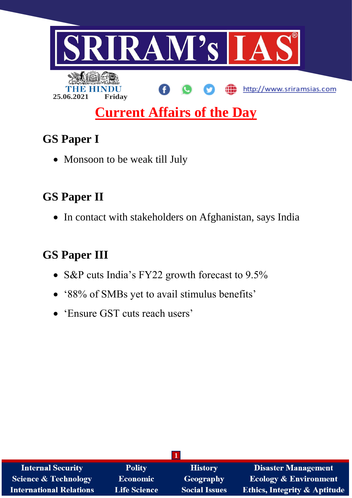

# **GS Paper I**

• Monsoon to be weak till July

# **GS Paper II**

• In contact with stakeholders on Afghanistan, says India

# **GS Paper III**

- S&P cuts India's FY22 growth forecast to 9.5%
- '88% of SMBs yet to avail stimulus benefits'
- 'Ensure GST cuts reach users'

| <b>Internal Security</b>        | <b>Polity</b>       | <b>History</b>       | <b>Disaster Management</b>              |  |  |  |
|---------------------------------|---------------------|----------------------|-----------------------------------------|--|--|--|
| <b>Science &amp; Technology</b> | Economic            | Geography            | <b>Ecology &amp; Environment</b>        |  |  |  |
| <b>International Relations</b>  | <b>Life Science</b> | <b>Social Issues</b> | <b>Ethics, Integrity &amp; Aptitude</b> |  |  |  |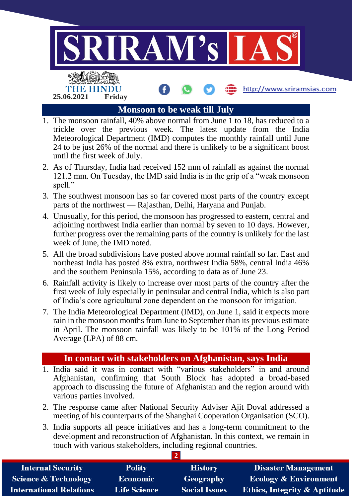

- 1. The monsoon rainfall, 40% above normal from June 1 to 18, has reduced to a trickle over the previous week. The latest update from the India Meteorological Department (IMD) computes the monthly rainfall until June 24 to be just 26% of the normal and there is unlikely to be a significant boost until the first week of July.
- 2. As of Thursday, India had received 152 mm of rainfall as against the normal 121.2 mm. On Tuesday, the IMD said India is in the grip of a "weak monsoon spell."
- 3. The southwest monsoon has so far covered most parts of the country except parts of the northwest — Rajasthan, Delhi, Haryana and Punjab.
- 4. Unusually, for this period, the monsoon has progressed to eastern, central and adjoining northwest India earlier than normal by seven to 10 days. However, further progress over the remaining parts of the country is unlikely for the last week of June, the IMD noted.
- 5. All the broad subdivisions have posted above normal rainfall so far. East and northeast India has posted 8% extra, northwest India 58%, central India 46% and the southern Peninsula 15%, according to data as of June 23.
- 6. Rainfall activity is likely to increase over most parts of the country after the first week of July especially in peninsular and central India, which is also part of India's core agricultural zone dependent on the monsoon for irrigation.
- 7. The India Meteorological Department (IMD), on June 1, said it expects more rain in the monsoon months from June to September than its previous estimate in April. The monsoon rainfall was likely to be 101% of the Long Period Average (LPA) of 88 cm.

## **In contact with stakeholders on Afghanistan, says India**

- 1. India said it was in contact with "various stakeholders" in and around Afghanistan, confirming that South Block has adopted a broad-based approach to discussing the future of Afghanistan and the region around with various parties involved.
- 2. The response came after National Security Adviser Ajit Doval addressed a meeting of his counterparts of the Shanghai Cooperation Organisation (SCO).
- 3. India supports all peace initiatives and has a long-term commitment to the development and reconstruction of Afghanistan. In this context, we remain in touch with various stakeholders, including regional countries.

| <b>Internal Security</b>        | <b>Polity</b>       | <b>History</b>       | <b>Disaster Management</b>              |
|---------------------------------|---------------------|----------------------|-----------------------------------------|
| <b>Science &amp; Technology</b> | <b>Economic</b>     | Geography            | <b>Ecology &amp; Environment</b>        |
| <b>International Relations</b>  | <b>Life Science</b> | <b>Social Issues</b> | <b>Ethics, Integrity &amp; Aptitude</b> |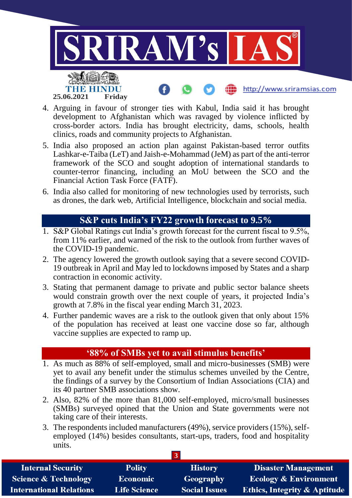

- 4. Arguing in favour of stronger ties with Kabul, India said it has brought development to Afghanistan which was ravaged by violence inflicted by cross-border actors. India has brought electricity, dams, schools, health clinics, roads and community projects to Afghanistan.
- 5. India also proposed an action plan against Pakistan-based terror outfits Lashkar-e-Taiba (LeT) and Jaish-e-Mohammad (JeM) as part of the anti-terror framework of the SCO and sought adoption of international standards to counter-terror financing, including an MoU between the SCO and the Financial Action Task Force (FATF).
- 6. India also called for monitoring of new technologies used by terrorists, such as drones, the dark web, Artificial Intelligence, blockchain and social media.

## **S&P cuts India's FY22 growth forecast to 9.5%**

- 1. S&P Global Ratings cut India's growth forecast for the current fiscal to 9.5%, from 11% earlier, and warned of the risk to the outlook from further waves of the COVID-19 pandemic.
- 2. The agency lowered the growth outlook saying that a severe second COVID-19 outbreak in April and May led to lockdowns imposed by States and a sharp contraction in economic activity.
- 3. Stating that permanent damage to private and public sector balance sheets would constrain growth over the next couple of years, it projected India's growth at 7.8% in the fiscal year ending March 31, 2023.
- 4. Further pandemic waves are a risk to the outlook given that only about 15% of the population has received at least one vaccine dose so far, although vaccine supplies are expected to ramp up.

## **'88% of SMBs yet to avail stimulus benefits'**

- 1. As much as 88% of self-employed, small and micro-businesses (SMB) were yet to avail any benefit under the stimulus schemes unveiled by the Centre, the findings of a survey by the Consortium of Indian Associations (CIA) and its 40 partner SMB associations show.
- 2. Also, 82% of the more than 81,000 self-employed, micro/small businesses (SMBs) surveyed opined that the Union and State governments were not taking care of their interests.
- 3. The respondents included manufacturers (49%), service providers (15%), selfemployed (14%) besides consultants, start-ups, traders, food and hospitality units.

| <b>Internal Security</b>        | <b>Polity</b>       | <b>History</b>       | <b>Disaster Management</b>              |
|---------------------------------|---------------------|----------------------|-----------------------------------------|
| <b>Science &amp; Technology</b> | Economic            | Geography            | <b>Ecology &amp; Environment</b>        |
| <b>International Relations</b>  | <b>Life Science</b> | <b>Social Issues</b> | <b>Ethics, Integrity &amp; Aptitude</b> |